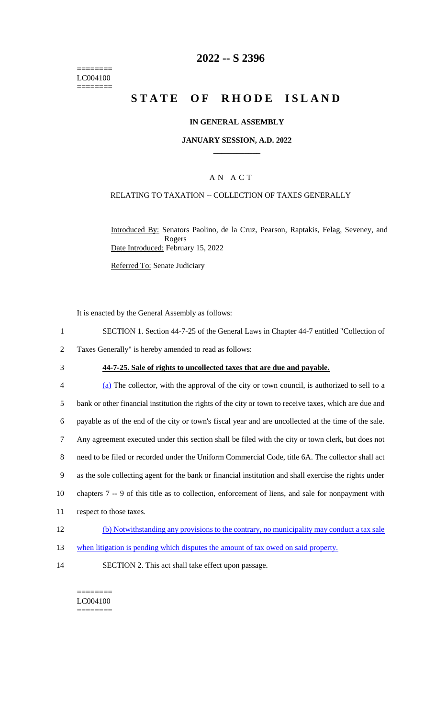======== LC004100  $=$ 

# **2022 -- S 2396**

# **STATE OF RHODE ISLAND**

#### **IN GENERAL ASSEMBLY**

#### **JANUARY SESSION, A.D. 2022 \_\_\_\_\_\_\_\_\_\_\_\_**

### A N A C T

#### RELATING TO TAXATION -- COLLECTION OF TAXES GENERALLY

Introduced By: Senators Paolino, de la Cruz, Pearson, Raptakis, Felag, Seveney, and Rogers Date Introduced: February 15, 2022

Referred To: Senate Judiciary

It is enacted by the General Assembly as follows:

- 1 SECTION 1. Section 44-7-25 of the General Laws in Chapter 44-7 entitled "Collection of
- 2 Taxes Generally" is hereby amended to read as follows:
- 

### 3 **44-7-25. Sale of rights to uncollected taxes that are due and payable.**

| 4      | (a) The collector, with the approval of the city or town council, is authorized to sell to a           |
|--------|--------------------------------------------------------------------------------------------------------|
| 5      | bank or other financial institution the rights of the city or town to receive taxes, which are due and |
| 6      | payable as of the end of the city or town's fiscal year and are uncollected at the time of the sale.   |
| $\tau$ | Any agreement executed under this section shall be filed with the city or town clerk, but does not     |
| 8      | need to be filed or recorded under the Uniform Commercial Code, title 6A. The collector shall act      |
| 9      | as the sole collecting agent for the bank or financial institution and shall exercise the rights under |
| 10     | chapters 7 -- 9 of this title as to collection, enforcement of liens, and sale for nonpayment with     |
| 11     | respect to those taxes.                                                                                |
| 12     | (b) Notwithstanding any provisions to the contrary, no municipality may conduct a tax sale             |

- 13 when litigation is pending which disputes the amount of tax owed on said property.
- 14 SECTION 2. This act shall take effect upon passage.

======== LC004100 ========